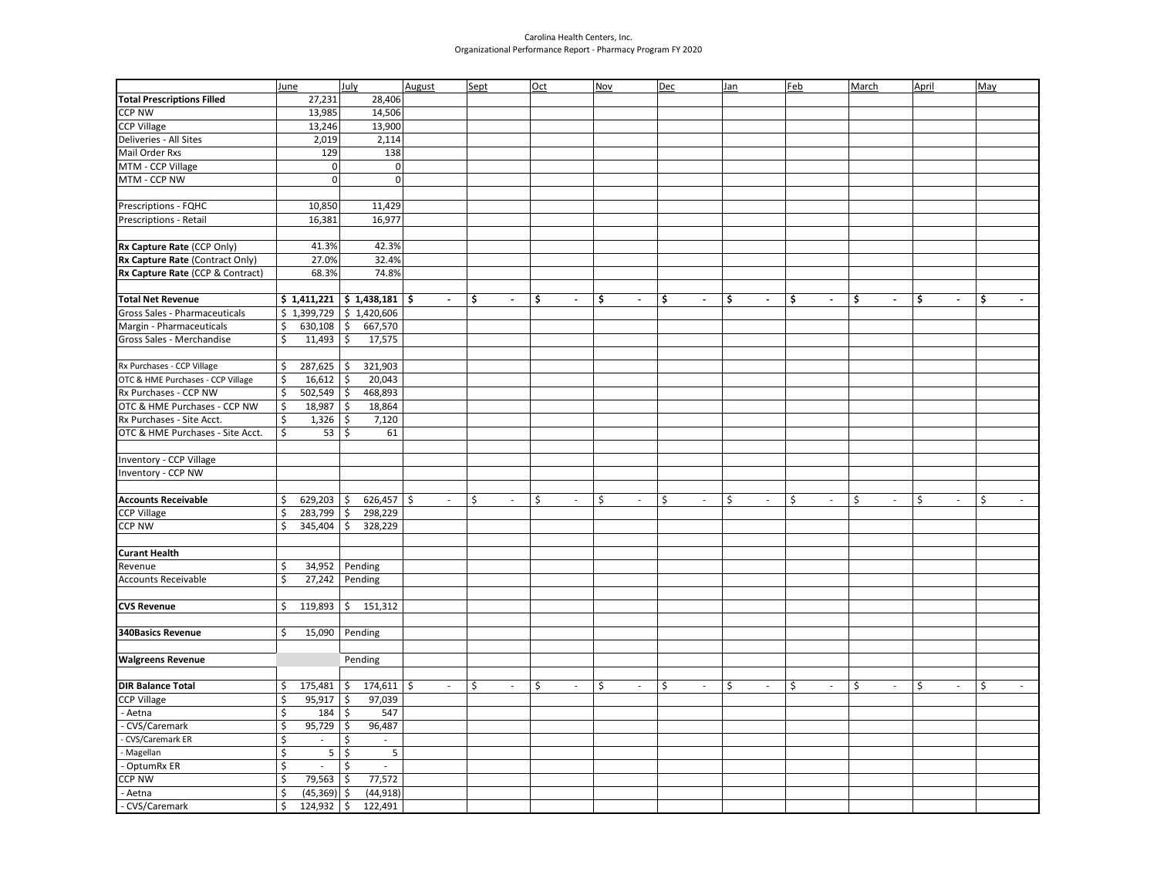## Carolina Health Centers, Inc. Organizational Performance Report - Pharmacy Program FY 2020

|                                   | June                    |                          | July                          | August                   | Sept                 | Oct                  | <b>Nov</b>                     | <b>Dec</b>                     | Jan                            | <u>Feb</u>           | <b>March</b>         | April                          | May                  |
|-----------------------------------|-------------------------|--------------------------|-------------------------------|--------------------------|----------------------|----------------------|--------------------------------|--------------------------------|--------------------------------|----------------------|----------------------|--------------------------------|----------------------|
| <b>Total Prescriptions Filled</b> |                         | 27,231                   | 28,406                        |                          |                      |                      |                                |                                |                                |                      |                      |                                |                      |
| <b>CCP NW</b>                     |                         | 13,985                   | 14,506                        |                          |                      |                      |                                |                                |                                |                      |                      |                                |                      |
| <b>CCP Village</b>                |                         | 13,246                   | 13,900                        |                          |                      |                      |                                |                                |                                |                      |                      |                                |                      |
| Deliveries - All Sites            |                         | 2,019                    | 2,114                         |                          |                      |                      |                                |                                |                                |                      |                      |                                |                      |
| Mail Order Rxs                    |                         | 129                      | 138                           |                          |                      |                      |                                |                                |                                |                      |                      |                                |                      |
| MTM - CCP Village                 |                         | $\overline{0}$           | 0                             |                          |                      |                      |                                |                                |                                |                      |                      |                                |                      |
| MTM - CCP NW                      |                         | $\Omega$                 | $\overline{0}$                |                          |                      |                      |                                |                                |                                |                      |                      |                                |                      |
|                                   |                         |                          |                               |                          |                      |                      |                                |                                |                                |                      |                      |                                |                      |
| Prescriptions - FQHC              |                         | 10,850                   | 11,429                        |                          |                      |                      |                                |                                |                                |                      |                      |                                |                      |
| Prescriptions - Retail            |                         | 16,381                   | 16,977                        |                          |                      |                      |                                |                                |                                |                      |                      |                                |                      |
|                                   |                         |                          |                               |                          |                      |                      |                                |                                |                                |                      |                      |                                |                      |
| Rx Capture Rate (CCP Only)        |                         | 41.3%                    | 42.3%                         |                          |                      |                      |                                |                                |                                |                      |                      |                                |                      |
| Rx Capture Rate (Contract Only)   |                         | 27.0%                    | 32.4%                         |                          |                      |                      |                                |                                |                                |                      |                      |                                |                      |
| Rx Capture Rate (CCP & Contract)  |                         | 68.3%                    | 74.8%                         |                          |                      |                      |                                |                                |                                |                      |                      |                                |                      |
|                                   |                         |                          |                               |                          |                      |                      |                                |                                |                                |                      |                      |                                |                      |
| <b>Total Net Revenue</b>          |                         |                          | $$1,411,221$ $$1,438,181$     | Ŝ.<br>$\blacksquare$     | \$<br>$\blacksquare$ | \$<br>$\blacksquare$ | \$<br>$\sim$                   | \$<br>$\blacksquare$           | \$<br>$\blacksquare$           | \$<br>$\blacksquare$ | \$<br>$\blacksquare$ | \$<br>$\blacksquare$           | \$<br>$\blacksquare$ |
| Gross Sales - Pharmaceuticals     |                         |                          | $$1,399,729$ $$1,420,606$     |                          |                      |                      |                                |                                |                                |                      |                      |                                |                      |
| Margin - Pharmaceuticals          | \$                      | $630,108$ \$             | 667,570                       |                          |                      |                      |                                |                                |                                |                      |                      |                                |                      |
| Gross Sales - Merchandise         | \$                      | 11,493                   | 17,575<br>\$                  |                          |                      |                      |                                |                                |                                |                      |                      |                                |                      |
|                                   |                         |                          |                               |                          |                      |                      |                                |                                |                                |                      |                      |                                |                      |
| Rx Purchases - CCP Village        | \$                      | 287,625                  | 321,903<br>l \$               |                          |                      |                      |                                |                                |                                |                      |                      |                                |                      |
| OTC & HME Purchases - CCP Village | \$                      | 16,612                   | 20,043<br>\$                  |                          |                      |                      |                                |                                |                                |                      |                      |                                |                      |
| Rx Purchases - CCP NW             | \$                      | 502,549                  | 468,893<br>\$                 |                          |                      |                      |                                |                                |                                |                      |                      |                                |                      |
| OTC & HME Purchases - CCP NW      | \$                      | 18,987                   | 18,864<br>-\$                 |                          |                      |                      |                                |                                |                                |                      |                      |                                |                      |
| Rx Purchases - Site Acct.         | \$                      | 1,326                    | 7,120<br>\$                   |                          |                      |                      |                                |                                |                                |                      |                      |                                |                      |
| OTC & HME Purchases - Site Acct.  | \$                      | 53                       | \$<br>61                      |                          |                      |                      |                                |                                |                                |                      |                      |                                |                      |
|                                   |                         |                          |                               |                          |                      |                      |                                |                                |                                |                      |                      |                                |                      |
| Inventory - CCP Village           |                         |                          |                               |                          |                      |                      |                                |                                |                                |                      |                      |                                |                      |
| Inventory - CCP NW                |                         |                          |                               |                          |                      |                      |                                |                                |                                |                      |                      |                                |                      |
|                                   |                         |                          |                               |                          |                      |                      |                                |                                |                                |                      |                      |                                |                      |
| <b>Accounts Receivable</b>        | \$                      | 629,203                  | $626,457$ \$<br>\$            | $\overline{\phantom{a}}$ | \$<br>$\sim$         | \$<br>$\sim$         | \$<br>$\overline{\phantom{a}}$ | \$<br>$\overline{\phantom{a}}$ | \$<br>$\overline{\phantom{a}}$ | $\zeta$<br>$\sim$    | $\zeta$<br>$\sim$    | \$<br>$\sim$                   | \$<br>$\sim$         |
| <b>CCP Village</b>                | \$                      | 283,799                  | 298,229<br>  \$               |                          |                      |                      |                                |                                |                                |                      |                      |                                |                      |
| <b>CCP NW</b>                     | \$                      | 345,404                  | 328,229<br>\$                 |                          |                      |                      |                                |                                |                                |                      |                      |                                |                      |
|                                   |                         |                          |                               |                          |                      |                      |                                |                                |                                |                      |                      |                                |                      |
| <b>Curant Health</b>              |                         |                          |                               |                          |                      |                      |                                |                                |                                |                      |                      |                                |                      |
| Revenue                           | \$                      | 34,952                   | Pending                       |                          |                      |                      |                                |                                |                                |                      |                      |                                |                      |
| Accounts Receivable               | \$                      | 27,242                   | Pending                       |                          |                      |                      |                                |                                |                                |                      |                      |                                |                      |
|                                   |                         |                          |                               |                          |                      |                      |                                |                                |                                |                      |                      |                                |                      |
| <b>CVS Revenue</b>                | \$                      | 119,893                  | \$151,312                     |                          |                      |                      |                                |                                |                                |                      |                      |                                |                      |
|                                   |                         |                          |                               |                          |                      |                      |                                |                                |                                |                      |                      |                                |                      |
| <b>340Basics Revenue</b>          | \$                      |                          | 15,090 Pending                |                          |                      |                      |                                |                                |                                |                      |                      |                                |                      |
|                                   |                         |                          |                               |                          |                      |                      |                                |                                |                                |                      |                      |                                |                      |
| <b>Walgreens Revenue</b>          |                         |                          | Pending                       |                          |                      |                      |                                |                                |                                |                      |                      |                                |                      |
|                                   |                         |                          |                               |                          |                      |                      |                                |                                |                                |                      |                      |                                |                      |
| <b>DIR Balance Total</b>          | \$                      | 175,481                  | $174,611$ \$<br>\$            | $\sim$                   | \$<br>$\sim$         | \$<br>$\sim$         | \$<br>$\sim$                   | \$<br>$\sim$                   | \$<br>$\sim$                   | \$<br>$\sim$         | \$<br>$\sim$         | \$<br>$\overline{\phantom{a}}$ | \$<br>$\sim$         |
| <b>CCP Village</b>                | \$                      | 95,917                   | 97,039<br>\$                  |                          |                      |                      |                                |                                |                                |                      |                      |                                |                      |
| - Aetna                           | \$                      | 184                      | 547<br>\$                     |                          |                      |                      |                                |                                |                                |                      |                      |                                |                      |
| CVS/Caremark                      | \$                      | 95,729                   | 96,487<br>\$                  |                          |                      |                      |                                |                                |                                |                      |                      |                                |                      |
| CVS/Caremark ER                   | \$                      | $\sim$                   | \$<br>$\sim$                  |                          |                      |                      |                                |                                |                                |                      |                      |                                |                      |
| Magellan                          | $\overline{\mathsf{S}}$ | 5                        | $\ddot{\mathsf{S}}$<br>5      |                          |                      |                      |                                |                                |                                |                      |                      |                                |                      |
| OptumRx ER                        | \$                      | $\overline{\phantom{a}}$ | \$<br>$\sim$                  |                          |                      |                      |                                |                                |                                |                      |                      |                                |                      |
| CCP NW                            | $\overline{\mathsf{S}}$ | 79,563                   | $\ddot{\mathsf{S}}$<br>77,572 |                          |                      |                      |                                |                                |                                |                      |                      |                                |                      |
| Aetna                             | \$                      | (45, 369)                | (44, 918)<br>Ś                |                          |                      |                      |                                |                                |                                |                      |                      |                                |                      |
| - CVS/Caremark                    | \$                      | 124,932                  | \$<br>122,491                 |                          |                      |                      |                                |                                |                                |                      |                      |                                |                      |